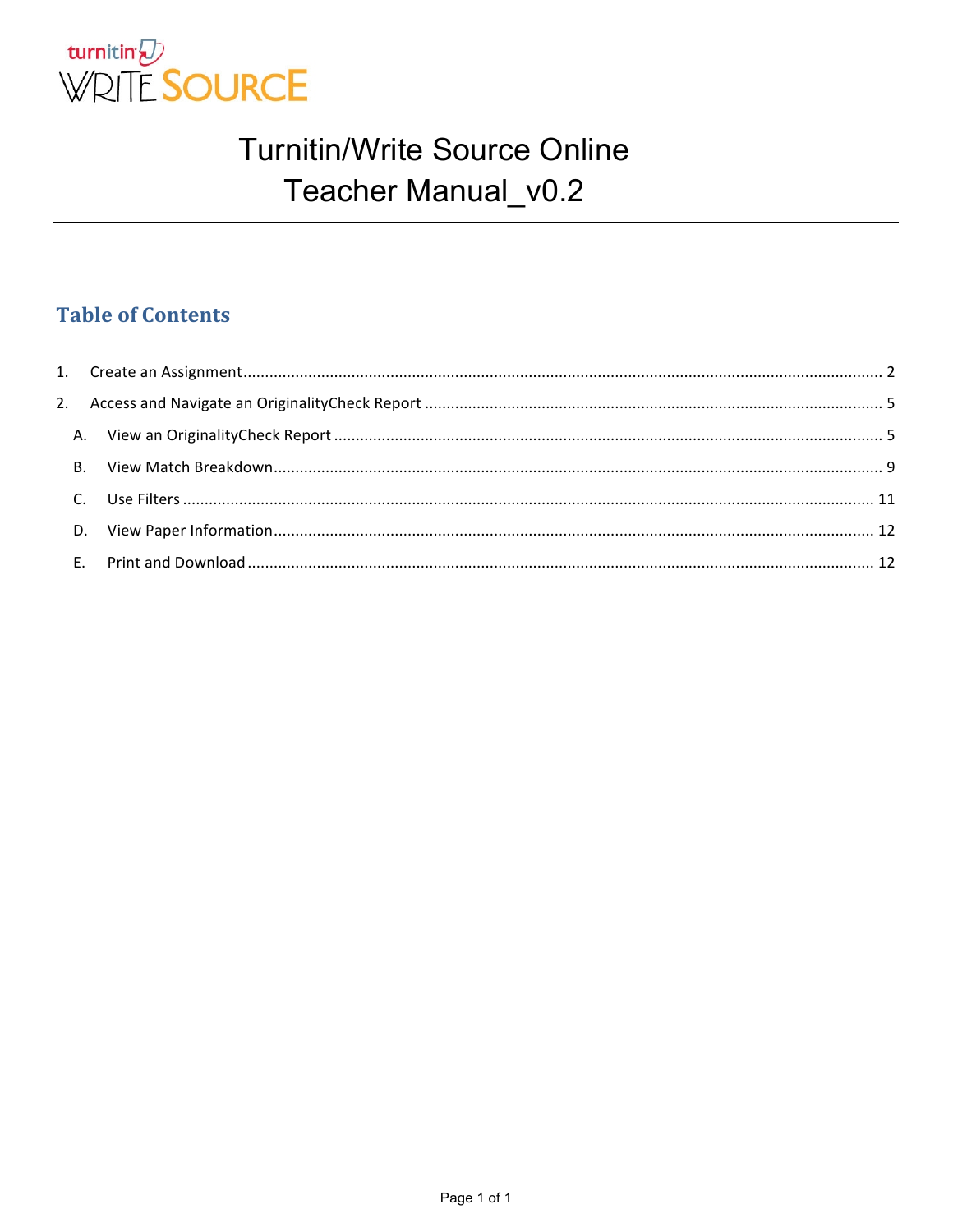

#### **Table of Contents**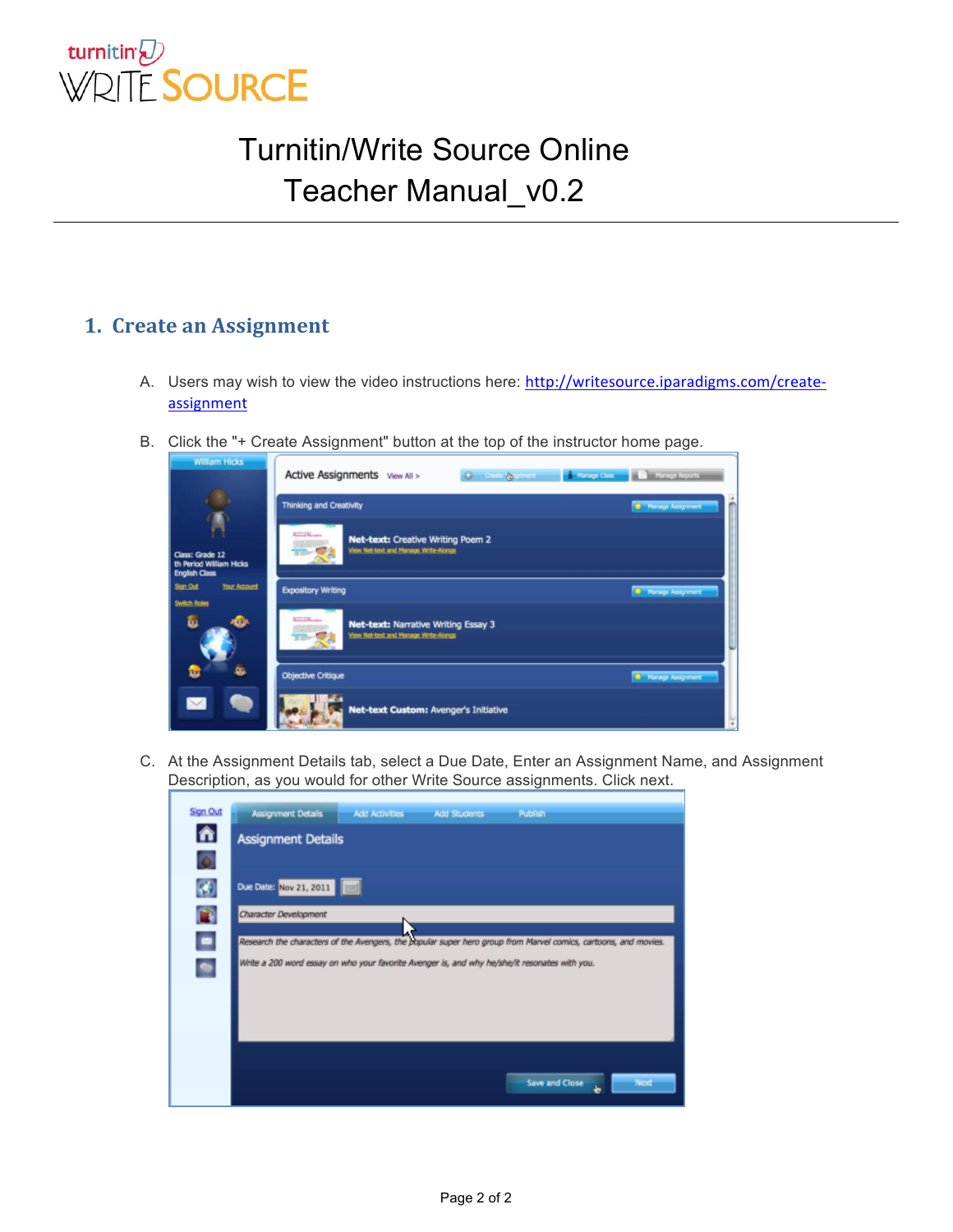

#### **1.** Create an Assignment

- A. Users may wish to view the video instructions here: http://writesource.iparadigms.com/create**assignment**
- B. Click the "+ Create Assignment" button at the top of the instructor home page.

| <b>William Hicks</b>                                        | Active Assignments View All ><br>+ Create (Signment + Manage Class + Manage Reports                     |                            |
|-------------------------------------------------------------|---------------------------------------------------------------------------------------------------------|----------------------------|
|                                                             | <b>Thinking and Creativity</b>                                                                          | <b>B</b> Manage Assignment |
| Class: Grade 12<br>th Period William Hicks<br>English Class | <b>Killed Women</b><br>Net-text: Creative Writing Poem 2<br>View Net-text and Manage Write-Alongs       |                            |
| Sign Out<br><b>Your Account</b>                             | <b>Expository Writing</b>                                                                               | <b>C</b> Manage Assignment |
| <b>Switch Roles</b>                                         |                                                                                                         |                            |
| ≁®<br>ō.                                                    | <b>Contract Manager</b><br>Net-text: Narrative Writing Essay 3<br>View Net-text and Manage Write-Alongs |                            |
| ò.                                                          | <b>Objective Critique</b>                                                                               | Manage Assignment          |
|                                                             | Net-text Custom: Avenger's Initiative                                                                   | W                          |

C. At the Assignment Details tab, select a Due Date, Enter an Assignment Name, and Assignment Description, as you would for other Write Source assignments. Click next.

| Sign Out  | Assignment Details<br>Publish<br><b>Add Activities</b><br><b>Add Students</b>                                   |
|-----------|-----------------------------------------------------------------------------------------------------------------|
| 合         | <b>Assignment Details</b>                                                                                       |
| ō         |                                                                                                                 |
| $\bullet$ | Due Date: Nov 21, 2011                                                                                          |
| $\bullet$ | Character Development                                                                                           |
| $\bullet$ | Research the characters of the Avengers, the popular super hero group from Marvel comics, cartoons, and movies. |
| $\bullet$ | Write a 200 word essay on who your favorite Avenger is, and why he/she/it resonates with you.                   |
|           |                                                                                                                 |
|           |                                                                                                                 |
|           |                                                                                                                 |
|           | Next<br>Save and Close                                                                                          |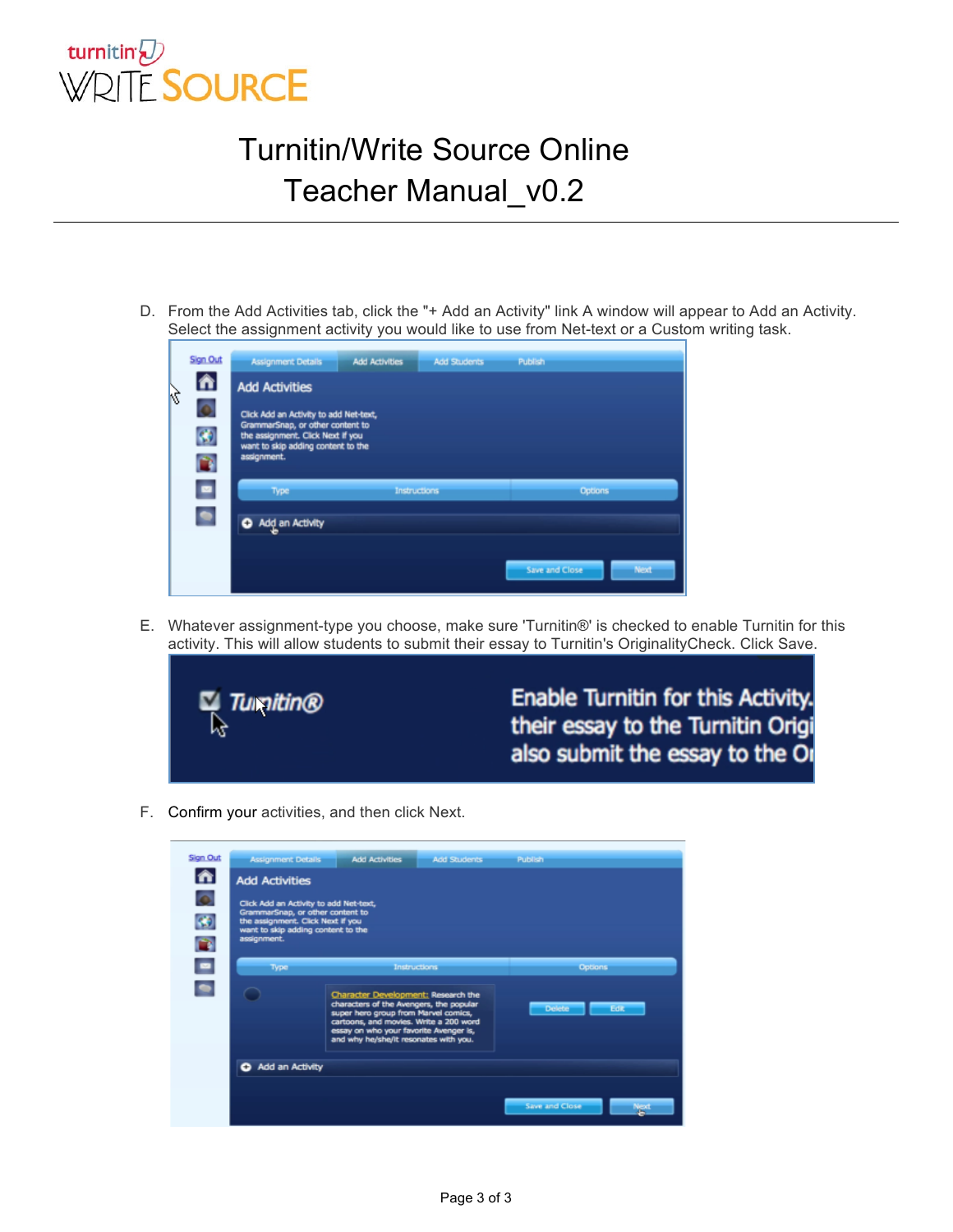

D. From the Add Activities tab, click the "+ Add an Activity" link A window will appear to Add an Activity. Select the assignment activity you would like to use from Net-text or a Custom writing task.

|    | Sign Out       | <b>Assignment Details</b>                                                  | <b>Add Activities</b> | <b>Add Students</b> | Publish        |      |  |  |
|----|----------------|----------------------------------------------------------------------------|-----------------------|---------------------|----------------|------|--|--|
| ķÇ | 合              | <b>Add Activities</b>                                                      |                       |                     |                |      |  |  |
|    | o              | Click Add an Activity to add Net-text,<br>GrammarSnap, or other content to |                       |                     |                |      |  |  |
|    | $\bullet$      | the assignment. Click Next if you<br>want to skip adding content to the    |                       |                     |                |      |  |  |
|    | O              | assignment.                                                                |                       |                     |                |      |  |  |
|    | $\blacksquare$ | Type                                                                       | <b>Instructions</b>   |                     | <b>Options</b> |      |  |  |
|    |                | Add an Activity                                                            |                       |                     |                |      |  |  |
|    |                |                                                                            |                       |                     |                |      |  |  |
|    |                |                                                                            |                       |                     | Save and Close | Next |  |  |

E. Whatever assignment-type you choose, make sure 'Turnitin®' is checked to enable Turnitin for this activity. This will allow students to submit their essay to Turnitin's OriginalityCheck. Click Save.



F. Confirm your activities, and then click Next.

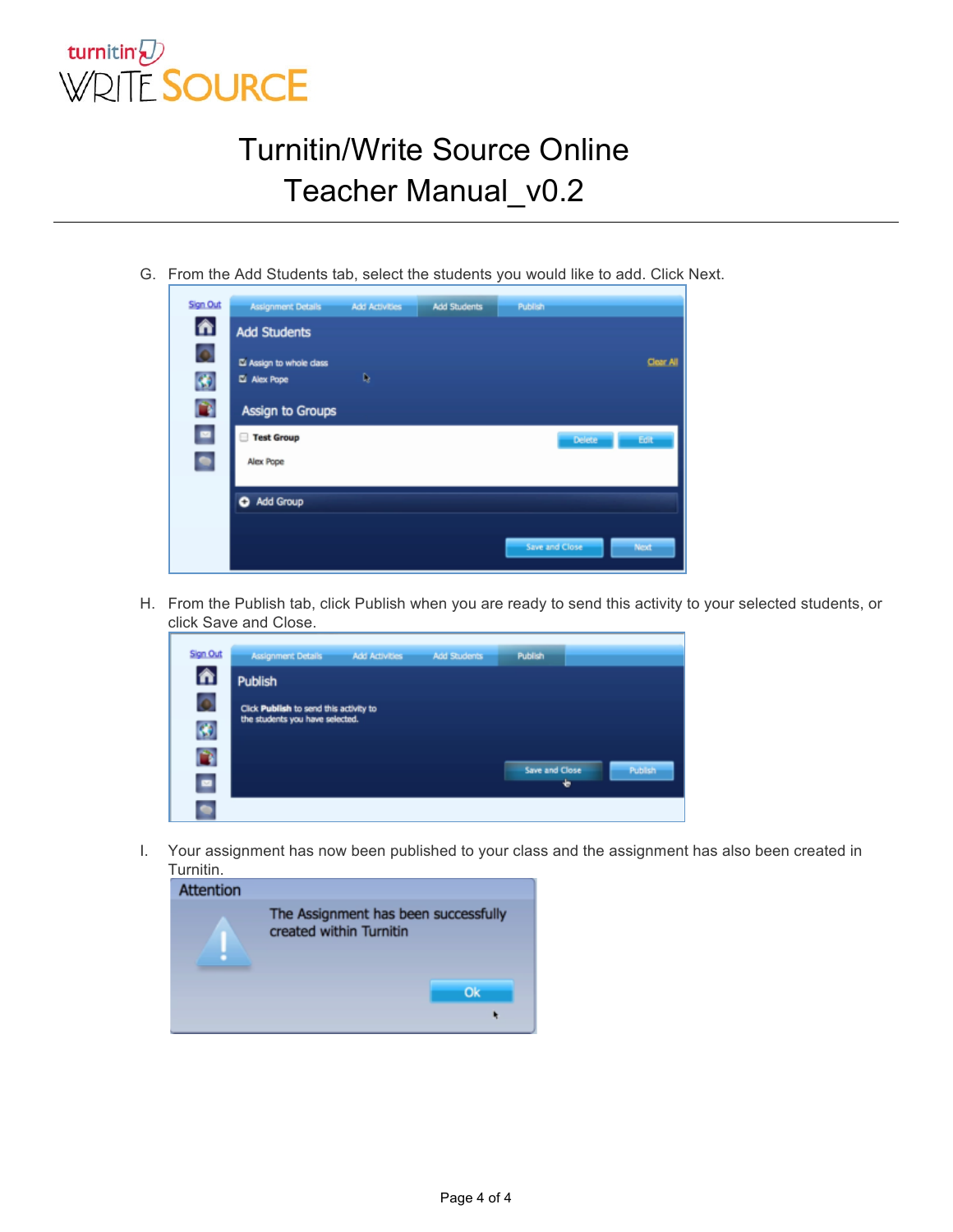

G. From the Add Students tab, select the students you would like to add. Click Next.

| Sign Out     | <b>Assignment Details</b> | <b>Add Activities</b> | <b>Add Students</b> | Publish        |           |
|--------------|---------------------------|-----------------------|---------------------|----------------|-----------|
| 合            | <b>Add Students</b>       |                       |                     |                |           |
| Ō            | El Assign to whole dass   |                       |                     |                | Clear All |
| $\mathbf{G}$ | Alex Pope                 | D,                    |                     |                |           |
| O            | <b>Assign to Groups</b>   |                       |                     |                |           |
| $\bullet$    | <b>Test Group</b>         |                       |                     | Delete         | Edit      |
| $\bullet$    | Alex Pope                 |                       |                     |                |           |
|              | Add Group                 |                       |                     |                |           |
|              |                           |                       |                     | Save and Close | Next      |

H. From the Publish tab, click Publish when you are ready to send this activity to your selected students, or click Save and Close.

| Sign Out                         | <b>Assignment Details</b>              | <b>Add Activities</b> | <b>Add Students</b> | Publish             |         |
|----------------------------------|----------------------------------------|-----------------------|---------------------|---------------------|---------|
| 合                                | <b>Publish</b>                         |                       |                     |                     |         |
| Ō                                | Click Publish to send this activity to |                       |                     |                     |         |
| $\langle \pmb{\epsilon} \rangle$ | the students you have selected.        |                       |                     |                     |         |
| a                                |                                        |                       |                     |                     |         |
| $\blacksquare$                   |                                        |                       |                     | Save and Close<br>۰ | Publish |
|                                  |                                        |                       |                     |                     |         |

I. Your assignment has now been published to your class and the assignment has also been created in Turnitin.

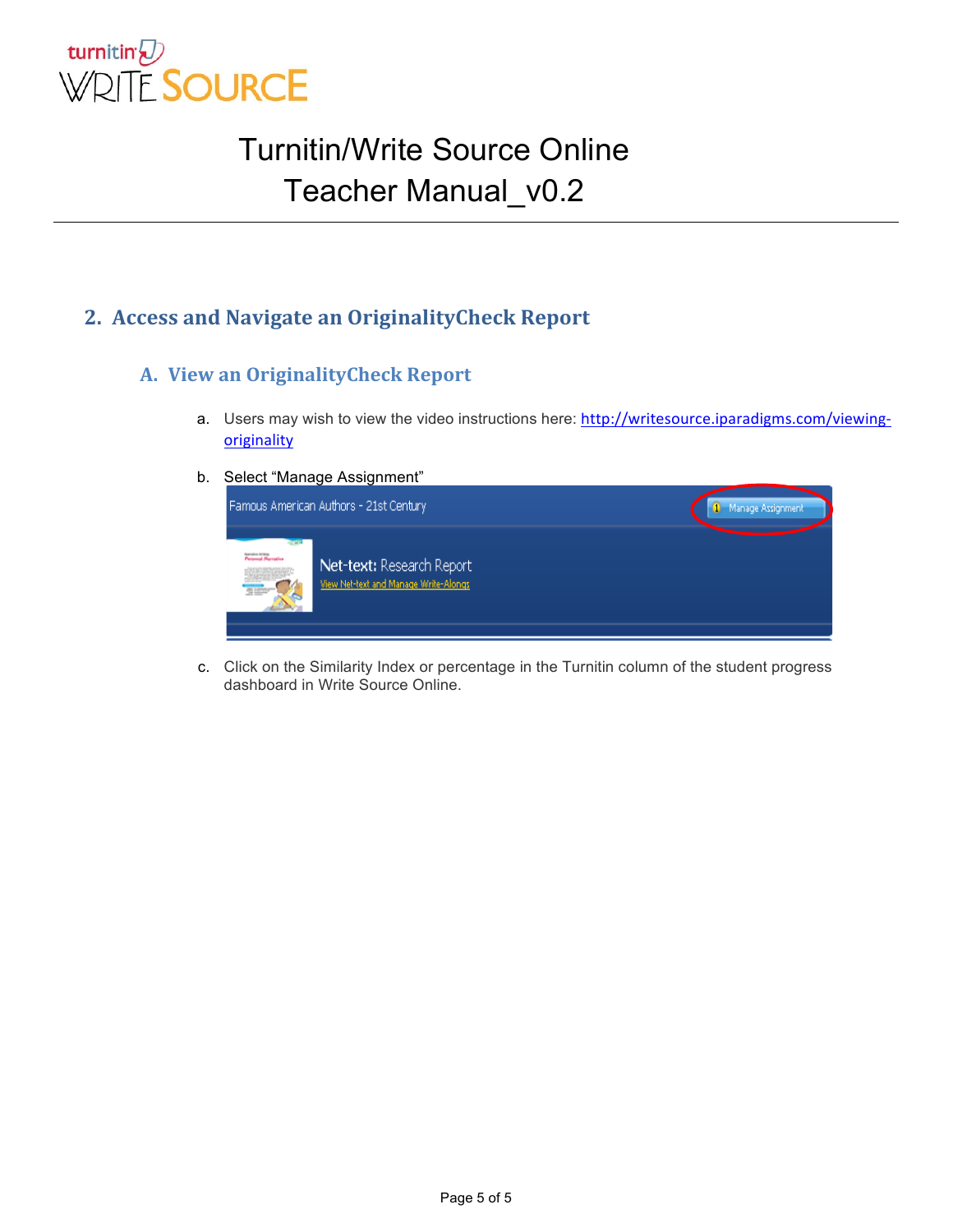

#### **2. Access and Navigate an OriginalityCheck Report**

#### **A. View an OriginalityCheck Report**

- a. Users may wish to view the video instructions here: http://writesource.iparadigms.com/viewing**originality**
- b. Select "Manage Assignment"



c. Click on the Similarity Index or percentage in the Turnitin column of the student progress dashboard in Write Source Online.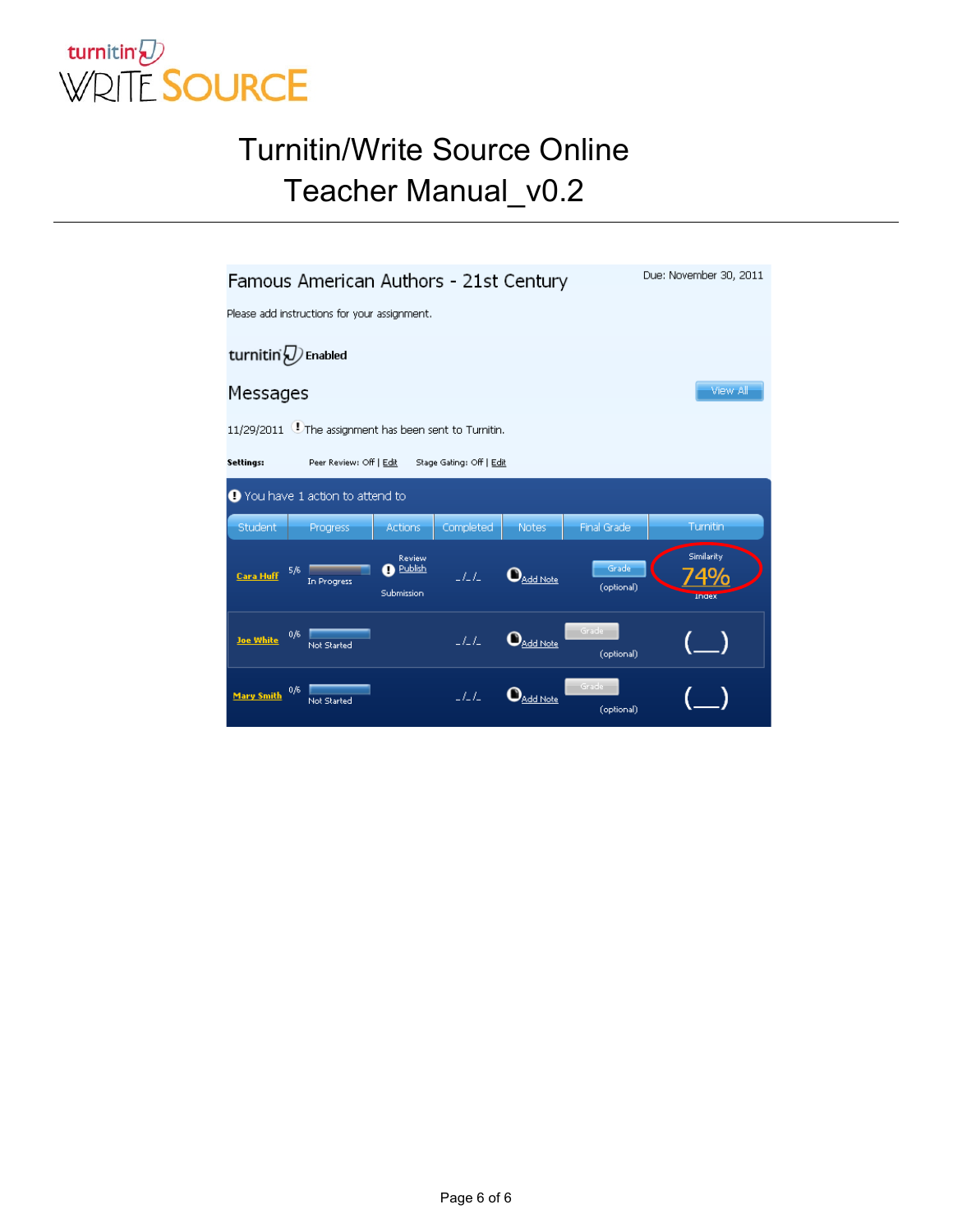

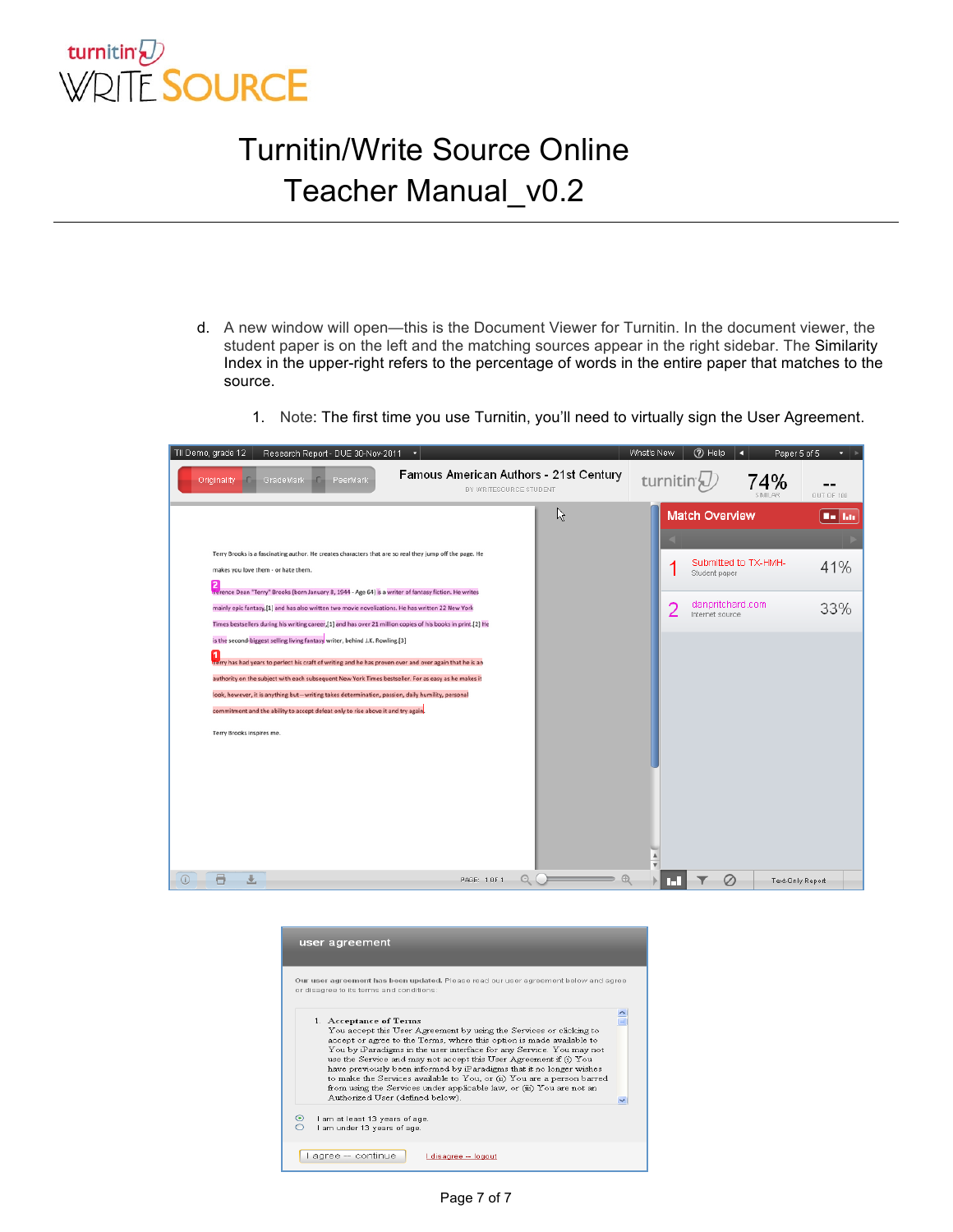

- d. A new window will open—this is the Document Viewer for Turnitin. In the document viewer, the student paper is on the left and the matching sources appear in the right sidebar. The Similarity Index in the upper-right refers to the percentage of words in the entire paper that matches to the source.
	- 1. Note: The first time you use Turnitin, you'll need to virtually sign the User Agreement.

| TII Demo, grade 12 | Research Report - DUE 30-Nov-2011                                                                                                                                                                                                                                                                                                                                                                                                                                                                                                                                                                                                                                                                                                                                                                                                                                                                                                                                                                         | ٠                                                                |   | What's New             | 7 Help                                                                        | O                    | Paper 5 of 5<br>$\blacksquare$ |
|--------------------|-----------------------------------------------------------------------------------------------------------------------------------------------------------------------------------------------------------------------------------------------------------------------------------------------------------------------------------------------------------------------------------------------------------------------------------------------------------------------------------------------------------------------------------------------------------------------------------------------------------------------------------------------------------------------------------------------------------------------------------------------------------------------------------------------------------------------------------------------------------------------------------------------------------------------------------------------------------------------------------------------------------|------------------------------------------------------------------|---|------------------------|-------------------------------------------------------------------------------|----------------------|--------------------------------|
| Originality        | GradeMark<br>PeerMark<br>HD.                                                                                                                                                                                                                                                                                                                                                                                                                                                                                                                                                                                                                                                                                                                                                                                                                                                                                                                                                                              | Famous American Authors - 21st Century<br>BY WRITESOURCE STUDENT |   | turnitin' <sub>v</sub> |                                                                               | 74%<br>SIMILAR       | OUT OF 100                     |
|                    | Terry Brooks is a fascinating author. He creates characters that are so real they jump off the page. He<br>makes you love them - or hate them.<br>2<br>Terence Dean "Terry" Brooks (born January 8, 1944 - Age 64) is a writer of fantasy fiction. He writes<br>mainly epic fantasy, [1] and has also written two movie novelizations. He has written 22 New York<br>Times bestsellers during his writing career, [1] and has over 21 million copies of his books in print. [2] He<br>is the second-biggest selling living fantasy writer, behind J.K. Rowling.[3]<br>Terry has had years to perfect his craft of writing and he has proven over and over again that he is an<br>authority on the subject with each subsequent New York Times bestseller. For as easy as he makes it<br>look, however, it is anything but-writing takes determination, passion, daily humility, personal<br>commitment and the ability to accept defeat only to rise above it and try again.<br>Terry Brooks inspires me. |                                                                  | R | $\overline{2}$         | <b>Match Overview</b><br>Student paper<br>danpritchard.com<br>Internet source | Submitted to TX-HMH- | <b>Bo hit</b><br>41%<br>33%    |
| a<br>$\odot$       |                                                                                                                                                                                                                                                                                                                                                                                                                                                                                                                                                                                                                                                                                                                                                                                                                                                                                                                                                                                                           | PAGE: 1 OF 1                                                     |   | п.                     | Ø                                                                             |                      | Text-Only Report               |

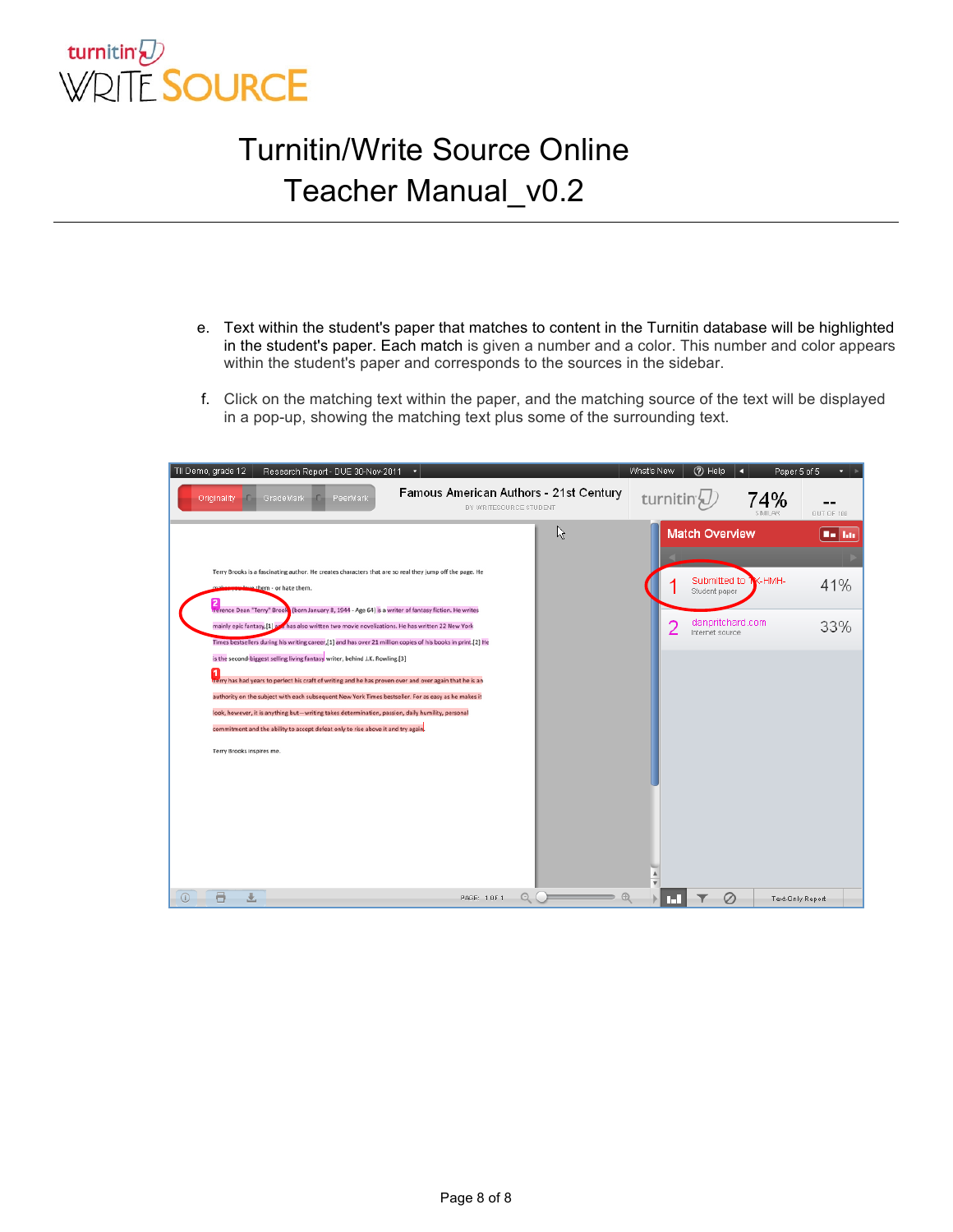

- e. Text within the student's paper that matches to content in the Turnitin database will be highlighted in the student's paper. Each match is given a number and a color. This number and color appears within the student's paper and corresponds to the sources in the sidebar.
- f. Click on the matching text within the paper, and the matching source of the text will be displayed in a pop-up, showing the matching text plus some of the surrounding text.

|         | TII Demo, grade 12<br>Research Report - DUE 30-Nov-2011                                                                                                                                                                                                                                                                                                                                                                                                                                                                                                                                                                                                                                                                                                                                                                                                                                                                                                                                      | - 7                                                              |   | What's New             | (?) Help                                                                      | a                     | Paper 5 of 5<br>$\cdot$ $\cdot$ |
|---------|----------------------------------------------------------------------------------------------------------------------------------------------------------------------------------------------------------------------------------------------------------------------------------------------------------------------------------------------------------------------------------------------------------------------------------------------------------------------------------------------------------------------------------------------------------------------------------------------------------------------------------------------------------------------------------------------------------------------------------------------------------------------------------------------------------------------------------------------------------------------------------------------------------------------------------------------------------------------------------------------|------------------------------------------------------------------|---|------------------------|-------------------------------------------------------------------------------|-----------------------|---------------------------------|
|         | Originality<br>GradeMark<br>PeerMark                                                                                                                                                                                                                                                                                                                                                                                                                                                                                                                                                                                                                                                                                                                                                                                                                                                                                                                                                         | Famous American Authors - 21st Century<br>BY WRITESOURCE STUDENT |   | turnitin' <sub>V</sub> |                                                                               | 74%<br><b>SIMILAR</b> | OUT OF 100                      |
|         | Terry Brooks is a fascinating author. He creates characters that are so real they jump off the page. He<br>slove them - or hate them.<br>Terence Dean "Terry" Brook (born January 8, 1944 - Age 64) is a writer of fantasy fiction. He writes<br>mainly epic fantasy,[1] as has also written two movie novelizations. He has written 22 New York<br>Times bestsellers during his writing career,[1] and has over 21 million copies of his books in print.[2] He<br>is the second-biggest selling living fantasy writer, behind J.K. Rowling.[3]<br>1<br>trerry has had years to perfect his craft of writing and he has proven over and over again that he is an<br>authority on the subject with each subsequent New York Times bestseller. For as easy as he makes it<br>look, however, it is anything but-writing takes determination, passion, daily humility, personal<br>commitment and the ability to accept defeat only to rise above it and try again.<br>Terry Brooks inspires me. |                                                                  | ド | 2                      | <b>Match Overview</b><br>Student paper<br>danpritchard.com<br>Internet source | Submitted to W-HMH-   | <b>Bellin</b><br>41%<br>33%     |
| $\odot$ | a                                                                                                                                                                                                                                                                                                                                                                                                                                                                                                                                                                                                                                                                                                                                                                                                                                                                                                                                                                                            | PAGE: 1 OF 1                                                     | Q | mц                     | S                                                                             |                       | Text-Only Report                |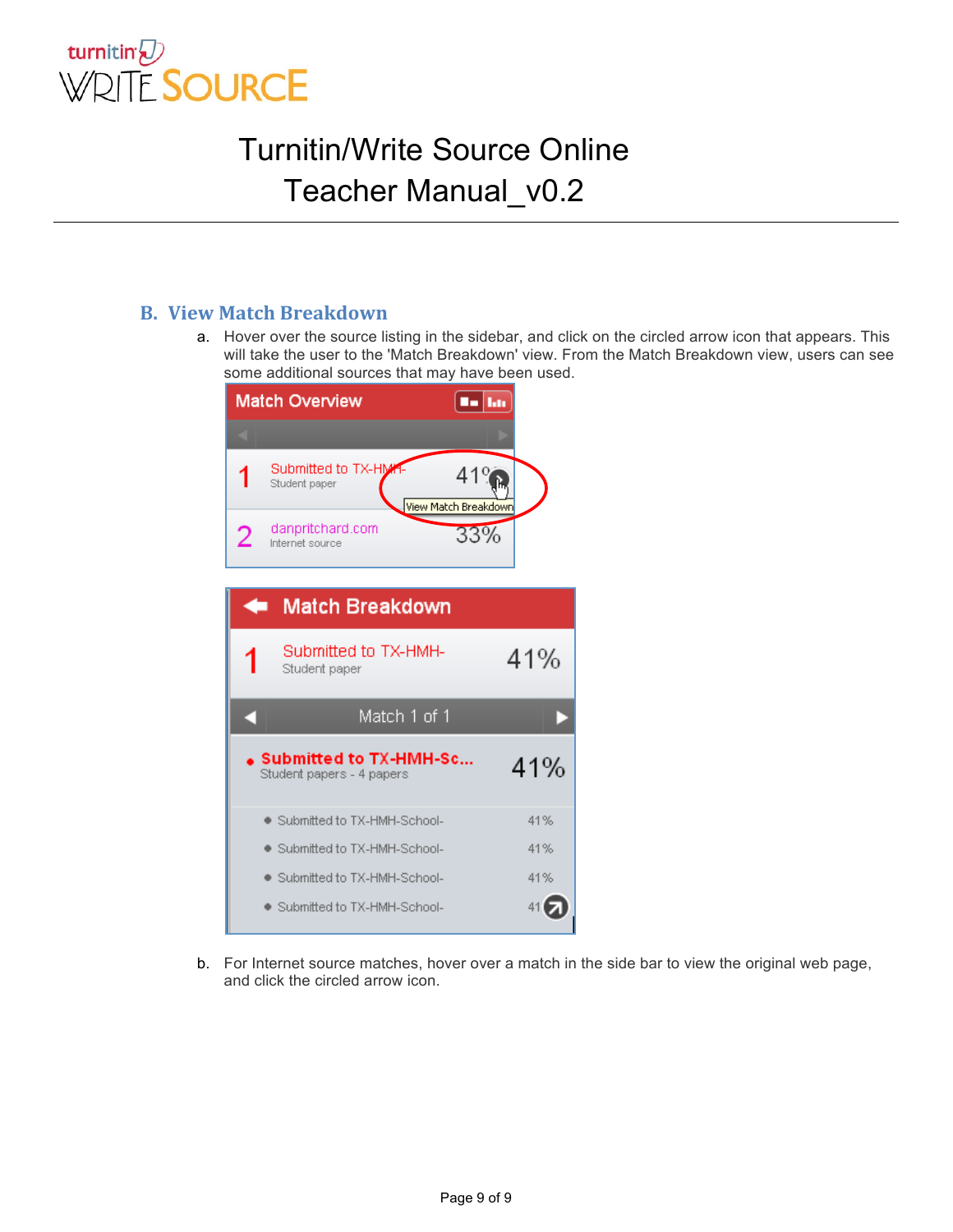

#### **B. View Match Breakdown**

a. Hover over the source listing in the sidebar, and click on the circled arrow icon that appears. This will take the user to the 'Match Breakdown' view. From the Match Breakdown view, users can see some additional sources that may have been used.



b. For Internet source matches, hover over a match in the side bar to view the original web page, and click the circled arrow icon.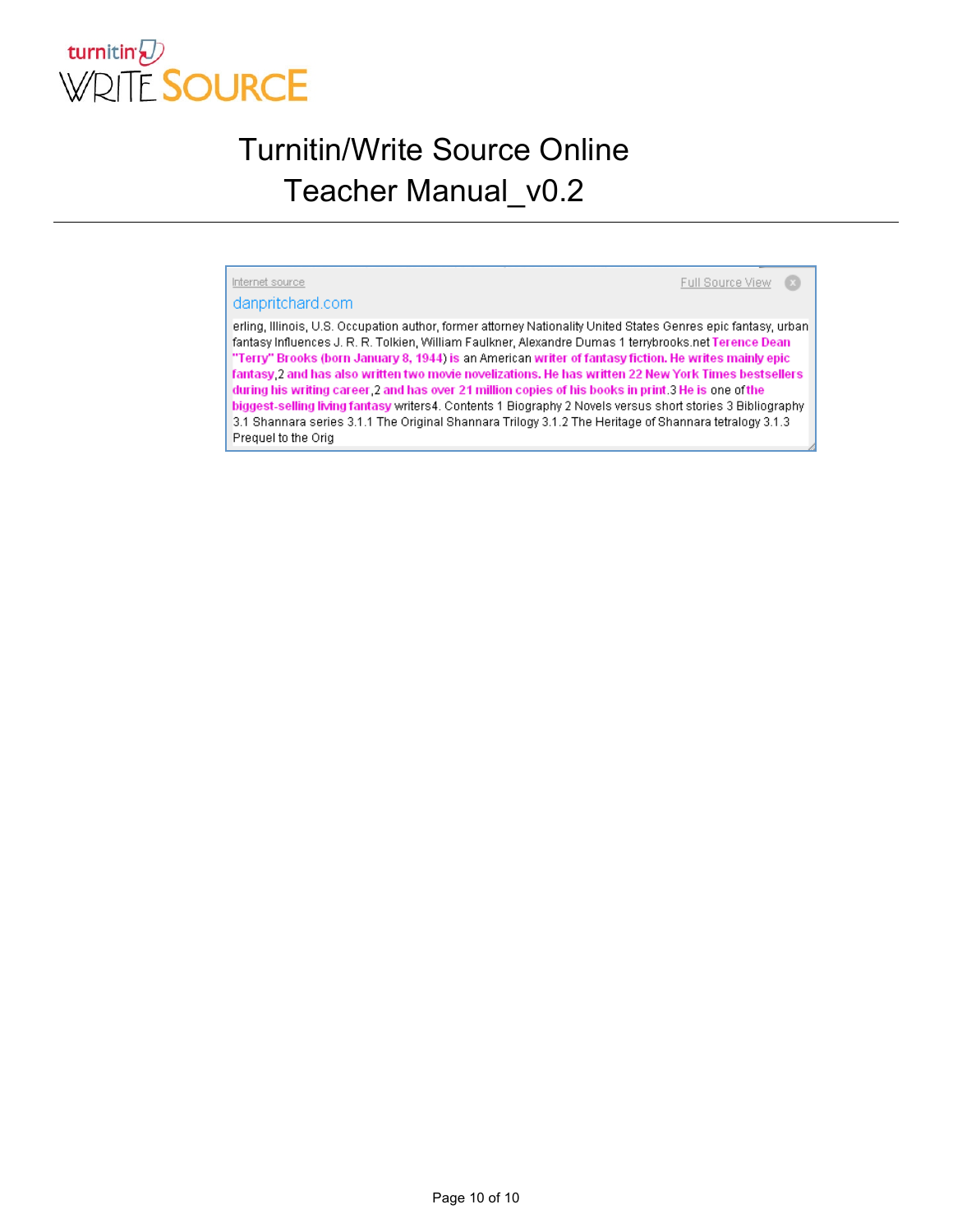

#### Internet source

Full Source View 3

#### danpritchard.com

erling, Illinois, U.S. Occupation author, former attorney Nationality United States Genres epic fantasy, urban fantasy Influences J. R. R. Tolkien, William Faulkner, Alexandre Dumas 1 terrybrooks.net Terence Dean "Terry" Brooks (born January 8, 1944) is an American writer of fantasy fiction. He writes mainly epic fantasy 2 and has also written two movie novelizations. He has written 22 New York Times bestsellers during his writing career 2 and has over 21 million copies of his books in print 3 He is one of the biggest-selling living fantasy writers4. Contents 1 Biography 2 Novels versus short stories 3 Bibliography 3.1 Shannara series 3.1.1 The Original Shannara Trilogy 3.1.2 The Heritage of Shannara tetralogy 3.1.3 Prequel to the Orig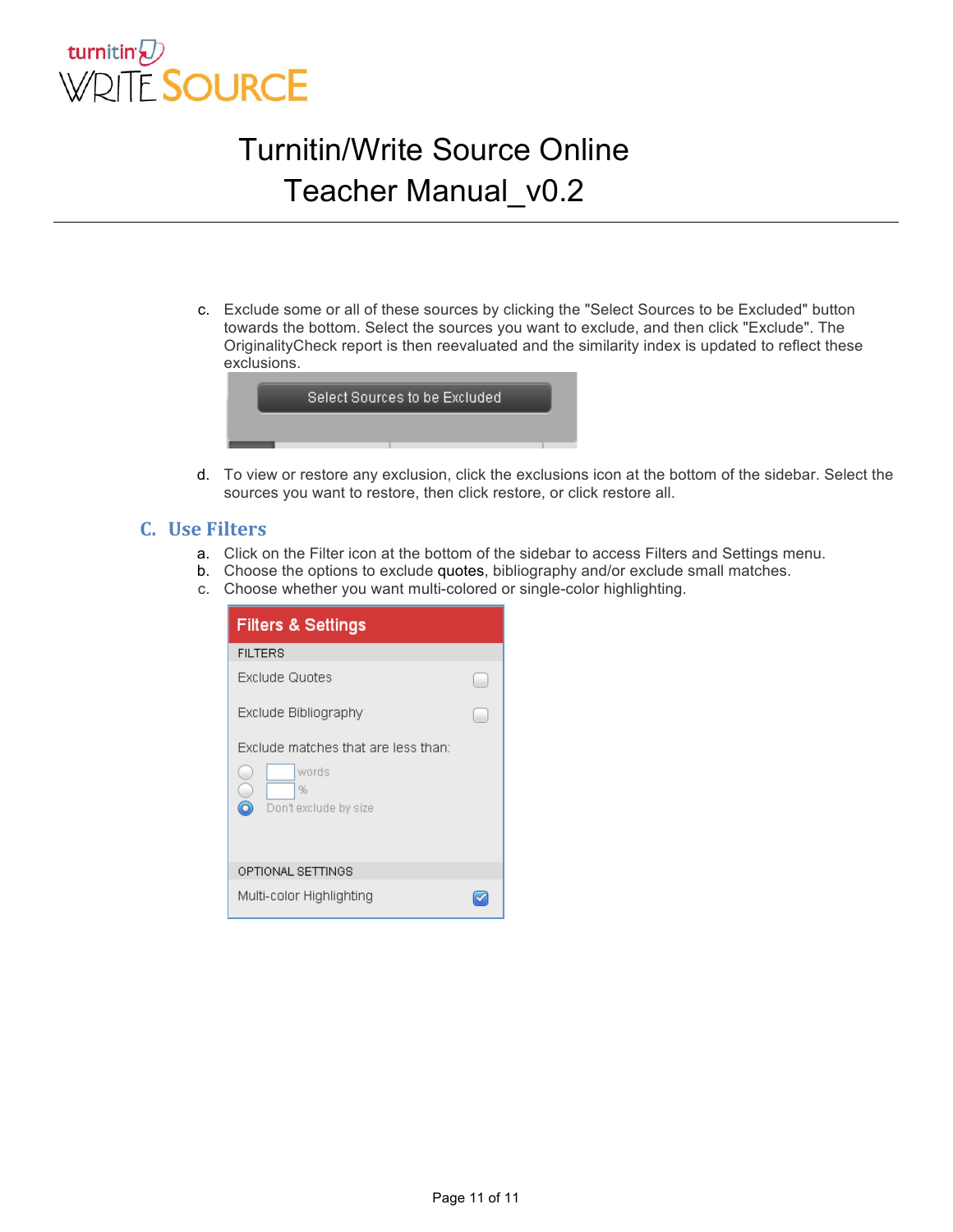

c. Exclude some or all of these sources by clicking the "Select Sources to be Excluded" button towards the bottom. Select the sources you want to exclude, and then click "Exclude". The OriginalityCheck report is then reevaluated and the similarity index is updated to reflect these exclusions.



d. To view or restore any exclusion, click the exclusions icon at the bottom of the sidebar. Select the sources you want to restore, then click restore, or click restore all.

#### **C.** Use Filters

- a. Click on the Filter icon at the bottom of the sidebar to access Filters and Settings menu.
- b. Choose the options to exclude quotes, bibliography and/or exclude small matches.
- c. Choose whether you want multi-colored or single-color highlighting.

| <b>Filters &amp; Settings</b>                                                        |  |  |  |  |  |
|--------------------------------------------------------------------------------------|--|--|--|--|--|
| <b>FILTERS</b>                                                                       |  |  |  |  |  |
| Exclude Quotes                                                                       |  |  |  |  |  |
| Exclude Bibliography                                                                 |  |  |  |  |  |
| Exclude matches that are less than:<br>words<br>C<br>%<br>6<br>Don't exclude by size |  |  |  |  |  |
| OPTIONAL SETTINGS                                                                    |  |  |  |  |  |
| Multi-color Highlighting                                                             |  |  |  |  |  |